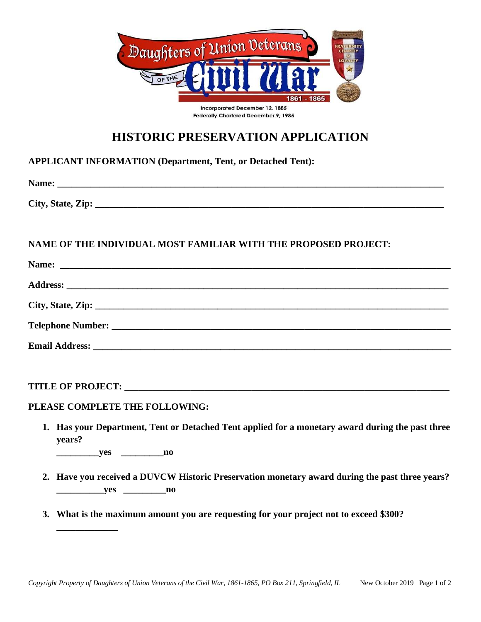

# **HISTORIC PRESERVATION APPLICATION**

### **APPLICANT INFORMATION (Department, Tent, or Detached Tent):**

**Name:**  $\blacksquare$ 

**City, State, Zip: \_\_\_\_\_\_\_\_\_\_\_\_\_\_\_\_\_\_\_\_\_\_\_\_\_\_\_\_\_\_\_\_\_\_\_\_\_\_\_\_\_\_\_\_\_\_\_\_\_\_\_\_\_\_\_\_\_\_\_\_\_\_\_\_\_\_\_\_\_\_\_\_\_\_**

### **NAME OF THE INDIVIDUAL MOST FAMILIAR WITH THE PROPOSED PROJECT:**

**TITLE OF PROJECT:** 

**\_\_\_\_\_\_\_\_\_\_\_\_\_**

#### **PLEASE COMPLETE THE FOLLOWING:**

**1. Has your Department, Tent or Detached Tent applied for a monetary award during the past three years?**

**\_\_\_\_\_\_\_\_\_yes \_\_\_\_\_\_\_\_\_no**

- **2. Have you received a DUVCW Historic Preservation monetary award during the past three years? \_\_\_\_\_\_\_\_\_\_yes \_\_\_\_\_\_\_\_\_no**
- **3. What is the maximum amount you are requesting for your project not to exceed \$300?**